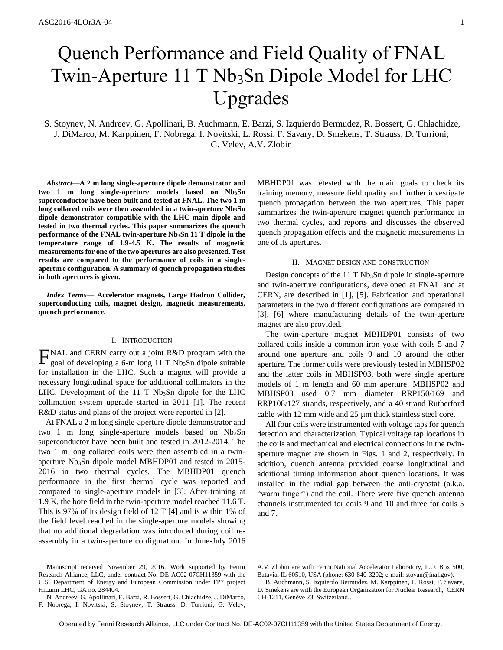# Quench Performance and Field Quality of FNAL Twin-Aperture 11 T Nb<sub>3</sub>Sn Dipole Model for LHC Upgrades

S. Stoynev, N. Andreev, G. Apollinari, B. Auchmann, E. Barzi, S. Izquierdo Bermudez, R. Bossert, G. Chlachidze, J. DiMarco, M. Karppinen, F. Nobrega, I. Novitski, L. Rossi, F. Savary, D. Smekens, T. Strauss, D. Turrioni, G. Velev, A.V. Zlobin

*Abstract***—A 2 m long single-aperture dipole demonstrator and two 1 m long single-aperture models based on Nb3Sn superconductor have been built and tested at FNAL. The two 1 m long collared coils were then assembled in a twin-aperture Nb3Sn dipole demonstrator compatible with the LHC main dipole and tested in two thermal cycles. This paper summarizes the quench performance of the FNAL twin-aperture Nb3Sn 11 T dipole in the temperature range of 1.9-4.5 K. The results of magnetic measurements for one of the two apertures are also presented. Test results are compared to the performance of coils in a singleaperture configuration. A summary of quench propagation studies in both apertures is given.** 

*Index Terms***— Accelerator magnets, Large Hadron Collider, superconducting coils, magnet design, magnetic measurements, quench performance.** 

# I. INTRODUCTION

**FNAL** and CERN carry out a joint R&D program with the goal of developing a 6-m long 11 T Nb<sub>3</sub>Sn dipole suitable goal of developing a 6-m long 11 T Nb<sub>3</sub>Sn dipole suitable for installation in the LHC. Such a magnet will provide a necessary longitudinal space for additional collimators in the LHC. Development of the  $11$  T Nb<sub>3</sub>Sn dipole for the LHC collimation system upgrade started in 2011 [1]. The recent R&D status and plans of the project were reported in [2].

At FNAL a 2 m long single-aperture dipole demonstrator and two 1 m long single-aperture models based on  $Nb<sub>3</sub>Sn$ superconductor have been built and tested in 2012-2014. The two 1 m long collared coils were then assembled in a twinaperture  $Nb<sub>3</sub>Sn$  dipole model MBHDP01 and tested in 2015-2016 in two thermal cycles. The MBHDP01 quench performance in the first thermal cycle was reported and compared to single-aperture models in [3]. After training at 1.9 K, the bore field in the twin-aperture model reached 11.6 T. This is 97% of its design field of 12 T [4] and is within 1% of the field level reached in the single-aperture models showing that no additional degradation was introduced during coil reassembly in a twin-aperture configuration. In June-July 2016 MBHDP01 was retested with the main goals to check its training memory, measure field quality and further investigate quench propagation between the two apertures. This paper summarizes the twin-aperture magnet quench performance in two thermal cycles, and reports and discusses the observed quench propagation effects and the magnetic measurements in one of its apertures.

# II. MAGNET DESIGN AND CONSTRUCTION

Design concepts of the 11 T Nb<sub>3</sub>Sn dipole in single-aperture and twin-aperture configurations, developed at FNAL and at CERN, are described in [1], [5]. Fabrication and operational parameters in the two different configurations are compared in [3], [6] where manufacturing details of the twin-aperture magnet are also provided.

The twin-aperture magnet MBHDP01 consists of two collared coils inside a common iron yoke with coils 5 and 7 around one aperture and coils 9 and 10 around the other aperture. The former coils were previously tested in MBHSP02 and the latter coils in MBHSP03, both were single aperture models of 1 m length and 60 mm aperture. MBHSP02 and MBHSP03 used 0.7 mm diameter RRP150/169 and RRP108/127 strands, respectively, and a 40 strand Rutherford cable with  $12 \text{ mm}$  wide and  $25 \text{ }\mu\text{m}$  thick stainless steel core.

All four coils were instrumented with voltage taps for quench detection and characterization. Typical voltage tap locations in the coils and mechanical and electrical connections in the twinaperture magnet are shown in Figs. 1 and 2, respectively. In addition, quench antenna provided coarse longitudinal and additional timing information about quench locations. It was installed in the radial gap between the anti-cryostat (a.k.a. "warm finger") and the coil. There were five quench antenna channels instrumented for coils 9 and 10 and three for coils 5 and 7.

A.V. Zlobin are with Fermi National Accelerator Laboratory, P.O. Box 500, Batavia, IL 60510, USA (phone: 630-840-3202; e-mail: stoyan@fnal.gov).

B. Auchmann, S. Izquierdo Bermudez, M. Karppinen, L. Rossi, F. Savary, D. Smekens are with the European Organization for Nuclear Research, CERN CH-1211, Genève 23, Switzerland..

Manuscript received November 29, 2016. Work supported by Fermi Research Alliance, LLC, under contract No. DE-AC02-07CH11359 with the U.S. Department of Energy and European Commission under FP7 project HiLumi LHC, GA no. 284404.

N. Andreev, G. Apollinari, E. Barzi, R. Bossert, G. Chlachidze, J. DiMarco, F. Nobrega, I. Novitski, S. Stoynev, T. Strauss, D. Turrioni, G. Velev,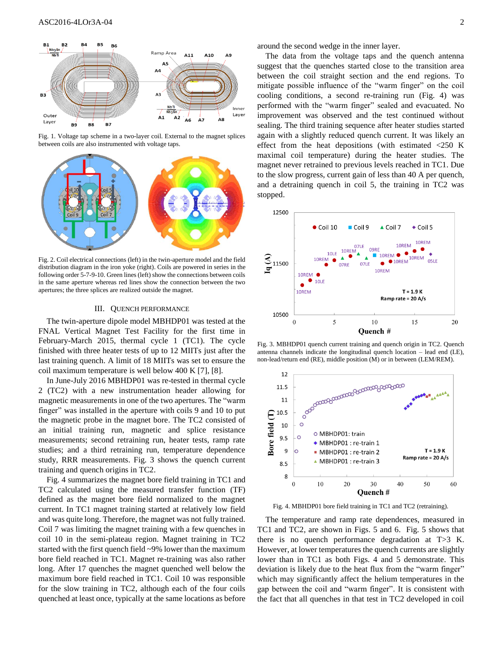

Fig. 1. Voltage tap scheme in a two-layer coil. External to the magnet splices between coils are also instrumented with voltage taps.



Fig. 2. Coil electrical connections (left) in the twin-aperture model and the field distribution diagram in the iron yoke (right). Coils are powered in series in the following order 5-7-9-10. Green lines (left) show the connections between coils in the same aperture whereas red lines show the connection between the two apertures; the three splices are realized outside the magnet.

## III. QUENCH PERFORMANCE

The twin-aperture dipole model MBHDP01 was tested at the FNAL Vertical Magnet Test Facility for the first time in February-March 2015, thermal cycle 1 (TC1). The cycle finished with three heater tests of up to 12 MIITs just after the last training quench. A limit of 18 MIITs was set to ensure the coil maximum temperature is well below 400 K [7], [8].

In June-July 2016 MBHDP01 was re-tested in thermal cycle 2 (TC2) with a new instrumentation header allowing for magnetic measurements in one of the two apertures. The "warm finger" was installed in the aperture with coils 9 and 10 to put the magnetic probe in the magnet bore. The TC2 consisted of an initial training run, magnetic and splice resistance measurements; second retraining run, heater tests, ramp rate studies; and a third retraining run, temperature dependence study, RRR measurements. Fig. 3 shows the quench current training and quench origins in TC2.

Fig. 4 summarizes the magnet bore field training in TC1 and TC2 calculated using the measured transfer function (TF) defined as the magnet bore field normalized to the magnet current. In TC1 magnet training started at relatively low field and was quite long. Therefore, the magnet was not fully trained. Coil 7 was limiting the magnet training with a few quenches in coil 10 in the semi-plateau region. Magnet training in TC2 started with the first quench field ~9% lower than the maximum bore field reached in TC1. Magnet re-training was also rather long. After 17 quenches the magnet quenched well below the maximum bore field reached in TC1. Coil 10 was responsible for the slow training in TC2, although each of the four coils quenched at least once, typically at the same locations as before around the second wedge in the inner layer.

The data from the voltage taps and the quench antenna suggest that the quenches started close to the transition area between the coil straight section and the end regions. To mitigate possible influence of the "warm finger" on the coil cooling conditions, a second re-training run (Fig. 4) was performed with the "warm finger" sealed and evacuated. No improvement was observed and the test continued without sealing. The third training sequence after heater studies started again with a slightly reduced quench current. It was likely an effect from the heat depositions (with estimated <250 K maximal coil temperature) during the heater studies. The magnet never retrained to previous levels reached in TC1. Due to the slow progress, current gain of less than 40 A per quench, and a detraining quench in coil 5, the training in TC2 was stopped.



Fig. 3. MBHDP01 quench current training and quench origin in TC2. Quench antenna channels indicate the longitudinal quench location – lead end (LE), non-lead/return end (RE), middle position (M) or in between (LEM/REM).



Fig. 4. MBHDP01 bore field training in TC1 and TC2 (retraining).

The temperature and ramp rate dependences, measured in TC1 and TC2, are shown in Figs. 5 and 6. Fig. 5 shows that there is no quench performance degradation at T>3 K. However, at lower temperatures the quench currents are slightly lower than in TC1 as both Figs. 4 and 5 demonstrate. This deviation is likely due to the heat flux from the "warm finger" which may significantly affect the helium temperatures in the gap between the coil and "warm finger". It is consistent with the fact that all quenches in that test in TC2 developed in coil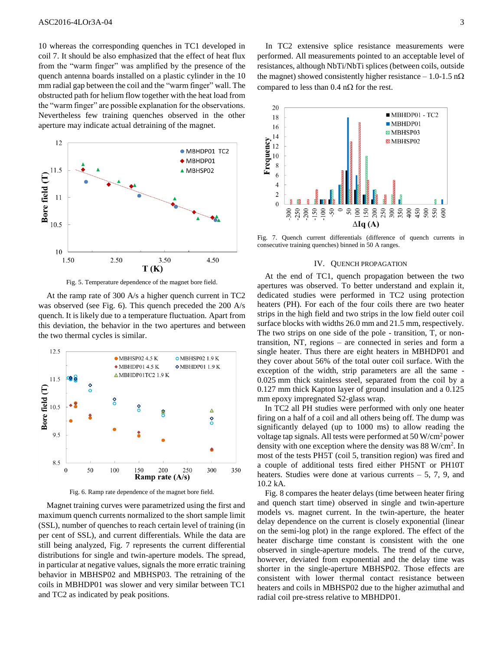10 whereas the corresponding quenches in TC1 developed in coil 7. It should be also emphasized that the effect of heat flux from the "warm finger" was amplified by the presence of the quench antenna boards installed on a plastic cylinder in the 10 mm radial gap between the coil and the "warm finger" wall. The obstructed path for helium flow together with the heat load from the "warm finger" are possible explanation for the observations. Nevertheless few training quenches observed in the other aperture may indicate actual detraining of the magnet.



Fig. 5. Temperature dependence of the magnet bore field.

At the ramp rate of 300 A/s a higher quench current in TC2 was observed (see Fig. 6). This quench preceded the 200 A/s quench. It is likely due to a temperature fluctuation. Apart from this deviation, the behavior in the two apertures and between the two thermal cycles is similar.



Fig. 6. Ramp rate dependence of the magnet bore field.

Magnet training curves were parametrized using the first and maximum quench currents normalized to the short sample limit (SSL), number of quenches to reach certain level of training (in per cent of SSL), and current differentials. While the data are still being analyzed, Fig. 7 represents the current differential distributions for single and twin-aperture models. The spread, in particular at negative values, signals the more erratic training behavior in MBHSP02 and MBHSP03. The retraining of the coils in MBHDP01 was slower and very similar between TC1 and TC2 as indicated by peak positions.

In TC2 extensive splice resistance measurements were performed. All measurements pointed to an acceptable level of resistances, although NbTi/NbTi splices (between coils, outside the magnet) showed consistently higher resistance  $-1.0$ -1.5 n $\Omega$ compared to less than  $0.4$  n $\Omega$  for the rest.



Fig. 7. Quench current differentials (difference of quench currents in consecutive training quenches) binned in 50 A ranges.

#### IV. QUENCH PROPAGATION

At the end of TC1, quench propagation between the two apertures was observed. To better understand and explain it, dedicated studies were performed in TC2 using protection heaters (PH). For each of the four coils there are two heater strips in the high field and two strips in the low field outer coil surface blocks with widths 26.0 mm and 21.5 mm, respectively. The two strips on one side of the pole - transition, T, or nontransition, NT, regions – are connected in series and form a single heater. Thus there are eight heaters in MBHDP01 and they cover about 56% of the total outer coil surface. With the exception of the width, strip parameters are all the same - 0.025 mm thick stainless steel, separated from the coil by a 0.127 mm thick Kapton layer of ground insulation and a 0.125 mm epoxy impregnated S2-glass wrap.

In TC2 all PH studies were performed with only one heater firing on a half of a coil and all others being off. The dump was significantly delayed (up to 1000 ms) to allow reading the voltage tap signals. All tests were performed at 50 W/cm<sup>2</sup> power density with one exception where the density was 88 W/cm<sup>2</sup>. In most of the tests PH5T (coil 5, transition region) was fired and a couple of additional tests fired either PH5NT or PH10T heaters. Studies were done at various currents  $-5$ , 7, 9, and 10.2 kA.

Fig. 8 compares the heater delays (time between heater firing and quench start time) observed in single and twin-aperture models vs. magnet current. In the twin-aperture, the heater delay dependence on the current is closely exponential (linear on the semi-log plot) in the range explored. The effect of the heater discharge time constant is consistent with the one observed in single-aperture models. The trend of the curve, however, deviated from exponential and the delay time was shorter in the single-aperture MBHSP02. Those effects are consistent with lower thermal contact resistance between heaters and coils in MBHSP02 due to the higher azimuthal and radial coil pre-stress relative to MBHDP01.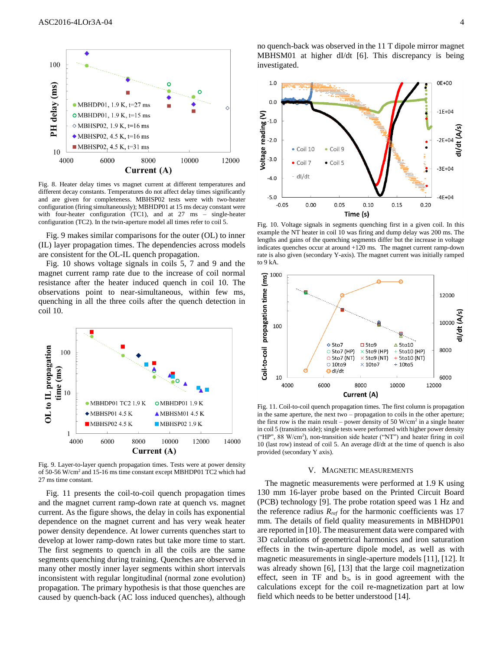

Fig. 8. Heater delay times vs magnet current at different temperatures and different decay constants. Temperatures do not affect delay times significantly and are given for completeness. MBHSP02 tests were with two-heater configuration (firing simultaneously); MBHDP01 at 15 ms decay constant were with four-heater configuration (TC1), and at 27 ms – single-heater configuration (TC2). In the twin-aperture model all times refer to coil 5.

Fig. 9 makes similar comparisons for the outer (OL) to inner (IL) layer propagation times. The dependencies across models are consistent for the OL-IL quench propagation.

Fig. 10 shows voltage signals in coils 5, 7 and 9 and the magnet current ramp rate due to the increase of coil normal resistance after the heater induced quench in coil 10. The observations point to near-simultaneous, within few ms, quenching in all the three coils after the quench detection in coil 10.



Fig. 9. Layer-to-layer quench propagation times. Tests were at power density of 50-56 W/cm<sup>2</sup> and 15-16 ms time constant except MBHDP01 TC2 which had 27 ms time constant.

Fig. 11 presents the coil-to-coil quench propagation times and the magnet current ramp-down rate at quench vs. magnet current. As the figure shows, the delay in coils has exponential dependence on the magnet current and has very weak heater power density dependence. At lower currents quenches start to develop at lower ramp-down rates but take more time to start. The first segments to quench in all the coils are the same segments quenching during training. Quenches are observed in many other mostly inner layer segments within short intervals inconsistent with regular longitudinal (normal zone evolution) propagation. The primary hypothesis is that those quenches are caused by quench-back (AC loss induced quenches), although no quench-back was observed in the 11 T dipole mirror magnet MBHSM01 at higher dI/dt [6]. This discrepancy is being investigated.



Fig. 10. Voltage signals in segments quenching first in a given coil. In this example the NT heater in coil 10 was firing and dump delay was 200 ms. The lengths and gains of the quenching segments differ but the increase in voltage indicates quenches occur at around +120 ms. The magnet current ramp-down rate is also given (secondary Y-axis). The magnet current was initially ramped to 9 kA.



Fig. 11. Coil-to-coil quench propagation times. The first column is propagation in the same aperture, the next two – propagation to coils in the other aperture; the first row is the main result – power density of 50  $W/cm<sup>2</sup>$  in a single heater in coil 5 (transition side); single tests were performed with higher power density ("HP", 88 W/cm<sup>2</sup> ), non-transition side heater ("NT") and heater firing in coil 10 (last row) instead of coil 5. An average dI/dt at the time of quench is also provided (secondary Y axis).

#### V. MAGNETIC MEASUREMENTS

The magnetic measurements were performed at 1.9 K using 130 mm 16-layer probe based on the Printed Circuit Board (PCB) technology [9]. The probe rotation speed was 1 Hz and the reference radius  $R_{ref}$  for the harmonic coefficients was 17 mm. The details of field quality measurements in MBHDP01 are reported in [10]. The measurement data were compared with 3D calculations of geometrical harmonics and iron saturation effects in the twin-aperture dipole model, as well as with magnetic measurements in single-aperture models [11], [12]. It was already shown [6], [13] that the large coil magnetization effect, seen in  $TF$  and  $b_3$ , is in good agreement with the calculations except for the coil re-magnetization part at low field which needs to be better understood [14].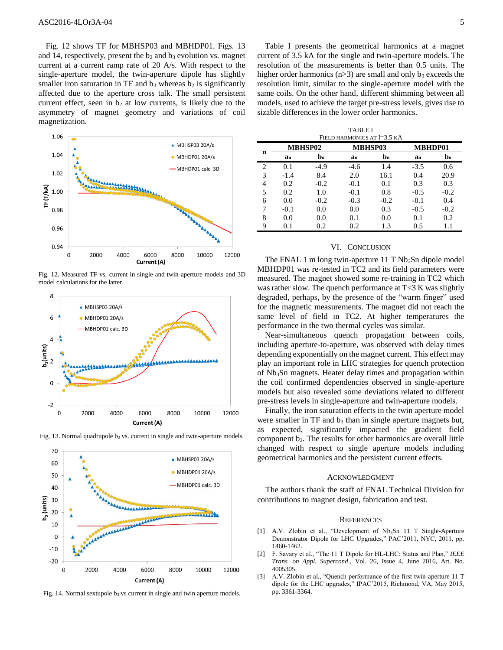Fig. 12 shows TF for MBHSP03 and MBHDP01. Figs. 13 and 14, respectively, present the  $b_2$  and  $b_3$  evolution vs. magnet current at a current ramp rate of 20 A/s. With respect to the single-aperture model, the twin-aperture dipole has slightly smaller iron saturation in TF and  $b_3$  whereas  $b_2$  is significantly affected due to the aperture cross talk. The small persistent current effect, seen in  $b_2$  at low currents, is likely due to the asymmetry of magnet geometry and variations of coil magnetization.



Fig. 12. Measured TF vs. current in single and twin-aperture models and 3D model calculations for the latter.





Fig. 13. Normal quadrupole  $b_2$  vs. current in single and twin-aperture models.

Fig. 14. Normal sextupole  $b_3$  vs current in single and twin aperture models.

Table I presents the geometrical harmonics at a magnet current of 3.5 kA for the single and twin-aperture models. The resolution of the measurements is better than 0.5 units. The higher order harmonics ( $n>3$ ) are small and only b<sub>9</sub> exceeds the resolution limit, similar to the single-aperture model with the same coils. On the other hand, different shimming between all models, used to achieve the target pre-stress levels, gives rise to sizable differences in the lower order harmonics.

TABLE I FIELD HARMONICS AT I=3.5 KA

| n | <b>MBHSP02</b> |                           | <b>MBHSP03</b> |                | MBHDP01 |                |
|---|----------------|---------------------------|----------------|----------------|---------|----------------|
|   | $a_n$          | $\mathbf{b}_{\mathbf{n}}$ | an             | $\mathbf{b}_n$ | an      | $\mathbf{b}_n$ |
| 2 | 0.1            | $-4.9$                    | $-4.6$         | 1.4            | $-3.5$  | 0.6            |
| 3 | $-1.4$         | 8.4                       | 2.0            | 16.1           | 0.4     | 20.9           |
| 4 | 0.2            | $-0.2$                    | $-0.1$         | 0.1            | 0.3     | 0.3            |
| 5 | 0.2            | 1.0                       | $-0.1$         | 0.8            | $-0.5$  | $-0.2$         |
| 6 | 0.0            | $-0.2$                    | $-0.3$         | $-0.2$         | $-0.1$  | 0.4            |
| 7 | $-0.1$         | 0.0                       | 0.0            | 0.3            | $-0.5$  | $-0.2$         |
| 8 | 0.0            | 0.0                       | 0.1            | 0.0            | 0.1     | 0.2            |
| 9 | 0.1            | 0.2                       | 0.2            | 1.3            | 0.5     | 1.1            |

### VI. CONCLUSION

The FNAL 1 m long twin-aperture  $11$  T Nb<sub>3</sub>Sn dipole model MBHDP01 was re-tested in TC2 and its field parameters were measured. The magnet showed some re-training in TC2 which was rather slow. The quench performance at  $T \leq 3$  K was slightly degraded, perhaps, by the presence of the "warm finger" used for the magnetic measurements. The magnet did not reach the same level of field in TC2. At higher temperatures the performance in the two thermal cycles was similar.

Near-simultaneous quench propagation between coils, including aperture-to-aperture, was observed with delay times depending exponentially on the magnet current. This effect may play an important role in LHC strategies for quench protection of Nb3Sn magnets. Heater delay times and propagation within the coil confirmed dependencies observed in single-aperture models but also revealed some deviations related to different pre-stress levels in single-aperture and twin-aperture models.

Finally, the iron saturation effects in the twin aperture model were smaller in TF and b<sub>3</sub> than in single aperture magnets but, as expected, significantly impacted the gradient field component b<sub>2</sub>. The results for other harmonics are overall little changed with respect to single aperture models including geometrical harmonics and the persistent current effects.

## ACKNOWLEDGMENT

The authors thank the staff of FNAL Technical Division for contributions to magnet design, fabrication and test.

#### **REFERENCES**

- [1] A.V. Zlobin et al., "Development of Nb<sub>3</sub>Sn 11 T Single-Aperture Demonstrator Dipole for LHC Upgrades," PAC'2011, NYC, 2011, pp. 1460-1462.
- [2] F. Savary et al., "The 11 T Dipole for HL-LHC: Status and Plan," *IEEE Trans. on Appl. Supercond*., Vol. 26, Issue 4, June 2016, Art. No. 4005305.
- [3] A.V. Zlobin et al., "Quench performance of the first twin-aperture 11 T dipole for the LHC upgrades," IPAC'2015, Richmond, VA, May 2015, pp. 3361-3364.